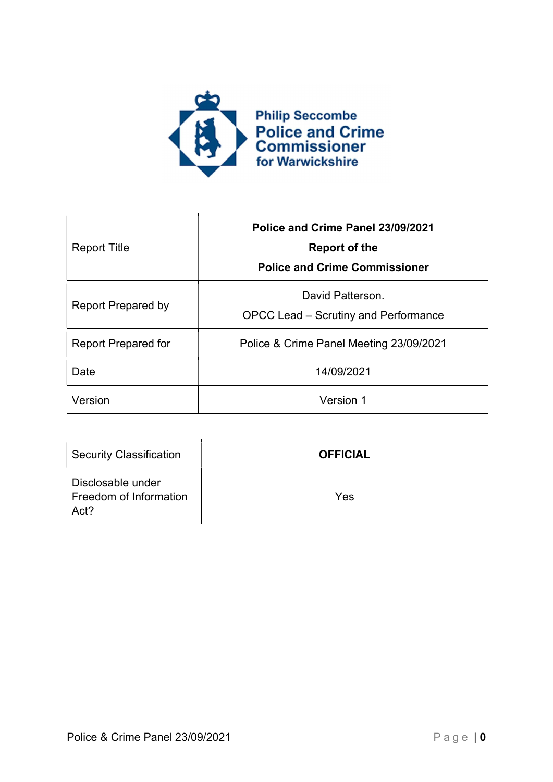

| <b>Report Title</b>        | Police and Crime Panel 23/09/2021<br><b>Report of the</b><br><b>Police and Crime Commissioner</b> |  |
|----------------------------|---------------------------------------------------------------------------------------------------|--|
| <b>Report Prepared by</b>  | David Patterson.<br>OPCC Lead – Scrutiny and Performance                                          |  |
| <b>Report Prepared for</b> | Police & Crime Panel Meeting 23/09/2021                                                           |  |
| Date                       | 14/09/2021                                                                                        |  |
| Version                    | Version 1                                                                                         |  |

| <b>Security Classification</b>                      | <b>OFFICIAL</b> |
|-----------------------------------------------------|-----------------|
| Disclosable under<br>Freedom of Information<br>Act? | Yes             |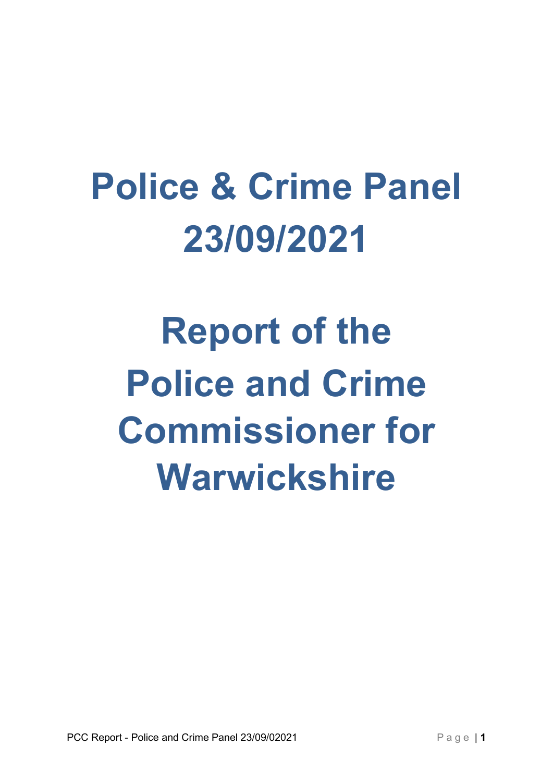# Police & Crime Panel 23/09/2021

Report of the Police and Crime Commissioner for Warwickshire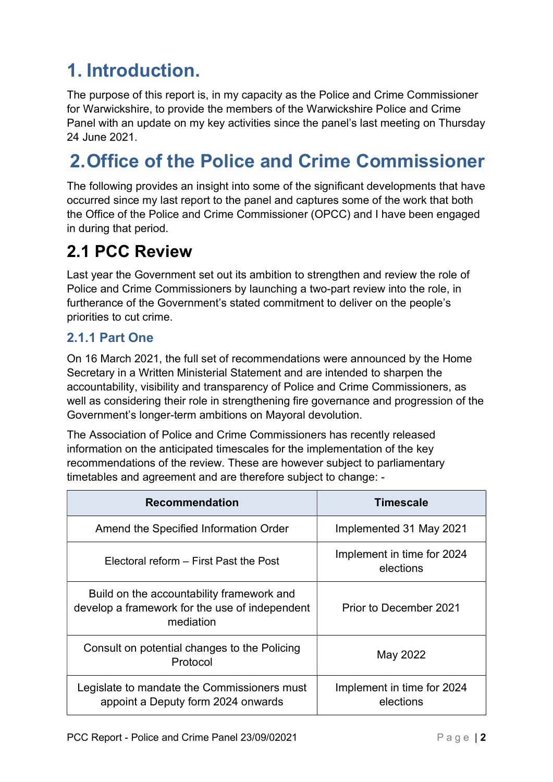# 1. Introduction.

The purpose of this report is, in my capacity as the Police and Crime Commissioner for Warwickshire, to provide the members of the Warwickshire Police and Crime Panel with an update on my key activities since the panel's last meeting on Thursday 24 June 2021.

# 2. Office of the Police and Crime Commissioner

The following provides an insight into some of the significant developments that have occurred since my last report to the panel and captures some of the work that both the Office of the Police and Crime Commissioner (OPCC) and I have been engaged in during that period.

### 2.1 PCC Review

Last year the Government set out its ambition to strengthen and review the role of Police and Crime Commissioners by launching a two-part review into the role, in furtherance of the Government's stated commitment to deliver on the people's priorities to cut crime.

#### 2.1.1 Part One

On 16 March 2021, the full set of recommendations were announced by the Home Secretary in a Written Ministerial Statement and are intended to sharpen the accountability, visibility and transparency of Police and Crime Commissioners, as well as considering their role in strengthening fire governance and progression of the Government's longer-term ambitions on Mayoral devolution.

The Association of Police and Crime Commissioners has recently released information on the anticipated timescales for the implementation of the key recommendations of the review. These are however subject to parliamentary timetables and agreement and are therefore subject to change: -

| <b>Recommendation</b>                                                                                    | Timescale                               |  |
|----------------------------------------------------------------------------------------------------------|-----------------------------------------|--|
| Amend the Specified Information Order                                                                    | Implemented 31 May 2021                 |  |
| Electoral reform – First Past the Post                                                                   | Implement in time for 2024<br>elections |  |
| Build on the accountability framework and<br>develop a framework for the use of independent<br>mediation | Prior to December 2021                  |  |
| Consult on potential changes to the Policing<br>Protocol                                                 | May 2022                                |  |
| Legislate to mandate the Commissioners must<br>appoint a Deputy form 2024 onwards                        | Implement in time for 2024<br>elections |  |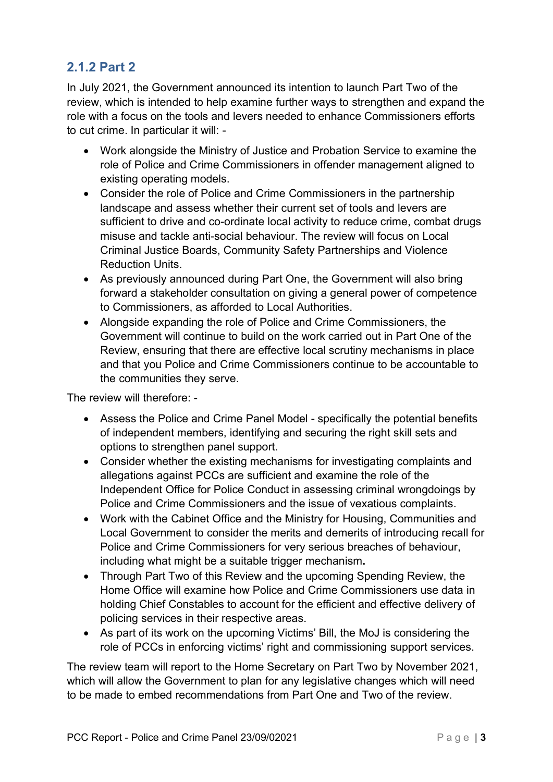### 2.1.2 Part 2

In July 2021, the Government announced its intention to launch Part Two of the review, which is intended to help examine further ways to strengthen and expand the role with a focus on the tools and levers needed to enhance Commissioners efforts to cut crime. In particular it will: -

- Work alongside the Ministry of Justice and Probation Service to examine the role of Police and Crime Commissioners in offender management aligned to existing operating models.
- Consider the role of Police and Crime Commissioners in the partnership landscape and assess whether their current set of tools and levers are sufficient to drive and co-ordinate local activity to reduce crime, combat drugs misuse and tackle anti-social behaviour. The review will focus on Local Criminal Justice Boards, Community Safety Partnerships and Violence Reduction Units.
- As previously announced during Part One, the Government will also bring forward a stakeholder consultation on giving a general power of competence to Commissioners, as afforded to Local Authorities.
- Alongside expanding the role of Police and Crime Commissioners, the Government will continue to build on the work carried out in Part One of the Review, ensuring that there are effective local scrutiny mechanisms in place and that you Police and Crime Commissioners continue to be accountable to the communities they serve.

The review will therefore: -

- Assess the Police and Crime Panel Model specifically the potential benefits of independent members, identifying and securing the right skill sets and options to strengthen panel support.
- Consider whether the existing mechanisms for investigating complaints and allegations against PCCs are sufficient and examine the role of the Independent Office for Police Conduct in assessing criminal wrongdoings by Police and Crime Commissioners and the issue of vexatious complaints.
- Work with the Cabinet Office and the Ministry for Housing, Communities and Local Government to consider the merits and demerits of introducing recall for Police and Crime Commissioners for very serious breaches of behaviour, including what might be a suitable trigger mechanism.
- Through Part Two of this Review and the upcoming Spending Review, the Home Office will examine how Police and Crime Commissioners use data in holding Chief Constables to account for the efficient and effective delivery of policing services in their respective areas.
- As part of its work on the upcoming Victims' Bill, the MoJ is considering the role of PCCs in enforcing victims' right and commissioning support services.

The review team will report to the Home Secretary on Part Two by November 2021, which will allow the Government to plan for any legislative changes which will need to be made to embed recommendations from Part One and Two of the review.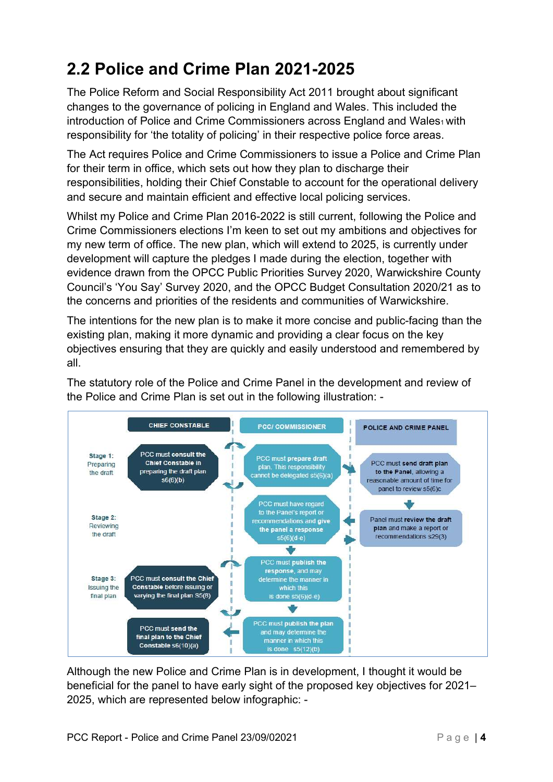# 2.2 Police and Crime Plan 2021-2025

The Police Reform and Social Responsibility Act 2011 brought about significant changes to the governance of policing in England and Wales. This included the introduction of Police and Crime Commissioners across England and Wales<sub>1</sub> with responsibility for 'the totality of policing' in their respective police force areas.

The Act requires Police and Crime Commissioners to issue a Police and Crime Plan for their term in office, which sets out how they plan to discharge their responsibilities, holding their Chief Constable to account for the operational delivery and secure and maintain efficient and effective local policing services.

Whilst my Police and Crime Plan 2016-2022 is still current, following the Police and Crime Commissioners elections I'm keen to set out my ambitions and objectives for my new term of office. The new plan, which will extend to 2025, is currently under development will capture the pledges I made during the election, together with evidence drawn from the OPCC Public Priorities Survey 2020, Warwickshire County Council's 'You Say' Survey 2020, and the OPCC Budget Consultation 2020/21 as to the concerns and priorities of the residents and communities of Warwickshire.

The intentions for the new plan is to make it more concise and public-facing than the existing plan, making it more dynamic and providing a clear focus on the key objectives ensuring that they are quickly and easily understood and remembered by all.

The statutory role of the Police and Crime Panel in the development and review of the Police and Crime Plan is set out in the following illustration: -



Although the new Police and Crime Plan is in development, I thought it would be beneficial for the panel to have early sight of the proposed key objectives for 2021– 2025, which are represented below infographic: -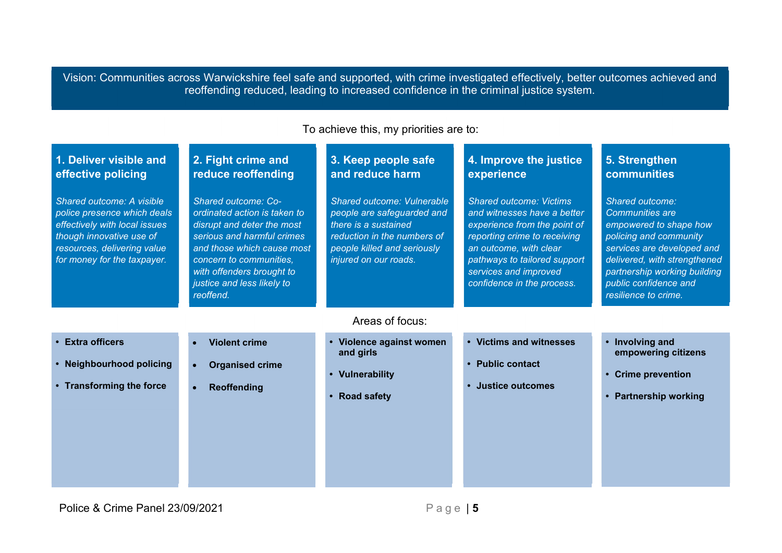Vision: Communities across Warwickshire feel safe and supported, with crime investigated effectively, better outcomes achieved and reoffending reduced, leading to increased confidence in the criminal justice system.

| 1. Deliver visible and                                                                                                                                 | 2. Fight crime and                                                                                                                                                                                                        | 3. Keep people safe                                                                                                                       | 4. Improve the justice                                                                                                                                                                                       | 5. Strengthen                                                                                                                                                                                                             |
|--------------------------------------------------------------------------------------------------------------------------------------------------------|---------------------------------------------------------------------------------------------------------------------------------------------------------------------------------------------------------------------------|-------------------------------------------------------------------------------------------------------------------------------------------|--------------------------------------------------------------------------------------------------------------------------------------------------------------------------------------------------------------|---------------------------------------------------------------------------------------------------------------------------------------------------------------------------------------------------------------------------|
| effective policing<br>Shared outcome: A visible                                                                                                        | reduce reoffending<br>Shared outcome: Co-                                                                                                                                                                                 | and reduce harm<br>Shared outcome: Vulnerable                                                                                             | experience<br><b>Shared outcome: Victims</b>                                                                                                                                                                 | <b>communities</b><br>Shared outcome:                                                                                                                                                                                     |
| police presence which deals<br>effectively with local issues<br>though innovative use of<br>resources, delivering value<br>for money for the taxpayer. | ordinated action is taken to<br>disrupt and deter the most<br>serious and harmful crimes<br>and those which cause most<br>concern to communities,<br>with offenders brought to<br>justice and less likely to<br>reoffend. | people are safeguarded and<br>there is a sustained<br>reduction in the numbers of<br>people killed and seriously<br>injured on our roads. | and witnesses have a better<br>experience from the point of<br>reporting crime to receiving<br>an outcome, with clear<br>pathways to tailored support<br>services and improved<br>confidence in the process. | <b>Communities are</b><br>empowered to shape how<br>policing and community<br>services are developed and<br>delivered, with strengthened<br>partnership working building<br>public confidence and<br>resilience to crime. |
|                                                                                                                                                        |                                                                                                                                                                                                                           | Areas of focus:                                                                                                                           |                                                                                                                                                                                                              |                                                                                                                                                                                                                           |
| <b>Extra officers</b><br><b>Neighbourhood policing</b>                                                                                                 | <b>Violent crime</b><br><b>Organised crime</b>                                                                                                                                                                            | Violence against women<br>and girls                                                                                                       | <b>Victims and witnesses</b><br><b>Public contact</b>                                                                                                                                                        | Involving and<br>empowering citizens                                                                                                                                                                                      |
| <b>Vulnerability</b><br><b>Transforming the force</b><br>Reoffending<br><b>Road safety</b>                                                             | <b>Justice outcomes</b>                                                                                                                                                                                                   | <b>Crime prevention</b><br><b>Partnership working</b>                                                                                     |                                                                                                                                                                                                              |                                                                                                                                                                                                                           |
|                                                                                                                                                        |                                                                                                                                                                                                                           |                                                                                                                                           |                                                                                                                                                                                                              |                                                                                                                                                                                                                           |
|                                                                                                                                                        |                                                                                                                                                                                                                           |                                                                                                                                           |                                                                                                                                                                                                              |                                                                                                                                                                                                                           |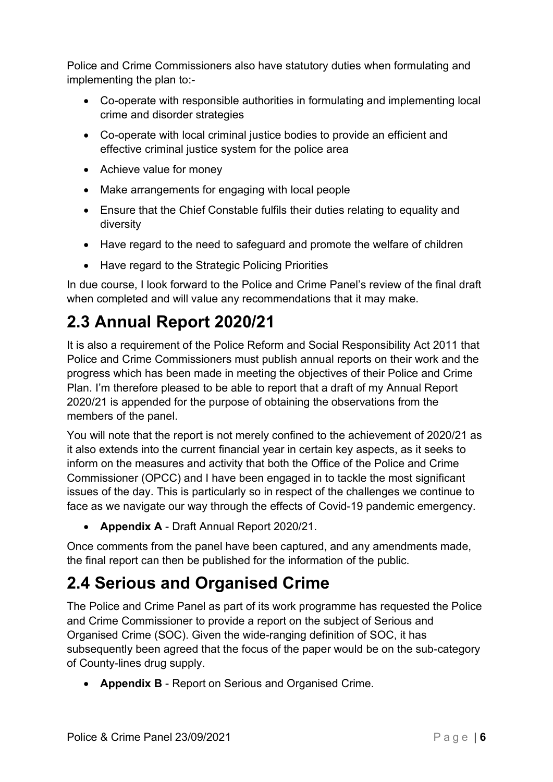Police and Crime Commissioners also have statutory duties when formulating and implementing the plan to:-

- Co-operate with responsible authorities in formulating and implementing local crime and disorder strategies
- Co-operate with local criminal justice bodies to provide an efficient and effective criminal justice system for the police area
- Achieve value for money
- Make arrangements for engaging with local people
- Ensure that the Chief Constable fulfils their duties relating to equality and diversity
- Have regard to the need to safeguard and promote the welfare of children
- Have regard to the Strategic Policing Priorities

In due course, I look forward to the Police and Crime Panel's review of the final draft when completed and will value any recommendations that it may make.

# 2.3 Annual Report 2020/21

It is also a requirement of the Police Reform and Social Responsibility Act 2011 that Police and Crime Commissioners must publish annual reports on their work and the progress which has been made in meeting the objectives of their Police and Crime Plan. I'm therefore pleased to be able to report that a draft of my Annual Report 2020/21 is appended for the purpose of obtaining the observations from the members of the panel.

You will note that the report is not merely confined to the achievement of 2020/21 as it also extends into the current financial year in certain key aspects, as it seeks to inform on the measures and activity that both the Office of the Police and Crime Commissioner (OPCC) and I have been engaged in to tackle the most significant issues of the day. This is particularly so in respect of the challenges we continue to face as we navigate our way through the effects of Covid-19 pandemic emergency.

• Appendix A - Draft Annual Report 2020/21.

Once comments from the panel have been captured, and any amendments made, the final report can then be published for the information of the public.

# 2.4 Serious and Organised Crime

The Police and Crime Panel as part of its work programme has requested the Police and Crime Commissioner to provide a report on the subject of Serious and Organised Crime (SOC). Given the wide-ranging definition of SOC, it has subsequently been agreed that the focus of the paper would be on the sub-category of County-lines drug supply.

• Appendix B - Report on Serious and Organised Crime.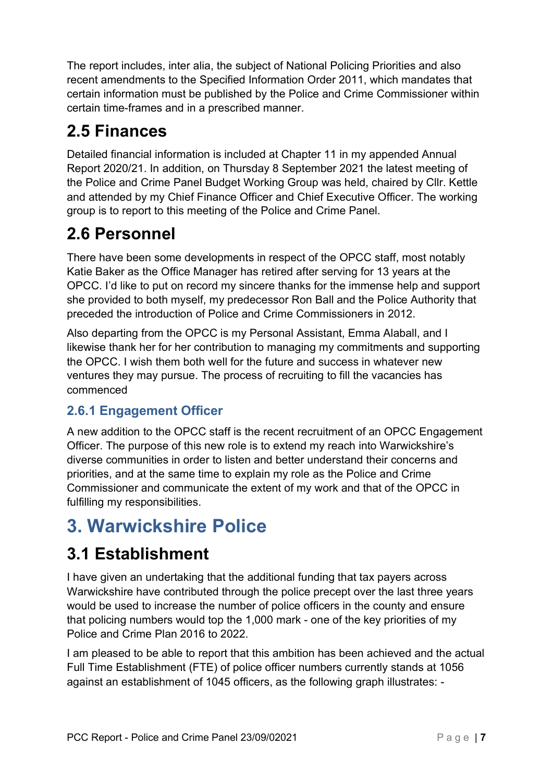The report includes, inter alia, the subject of National Policing Priorities and also recent amendments to the Specified Information Order 2011, which mandates that certain information must be published by the Police and Crime Commissioner within certain time-frames and in a prescribed manner.

### 2.5 Finances

Detailed financial information is included at Chapter 11 in my appended Annual Report 2020/21. In addition, on Thursday 8 September 2021 the latest meeting of the Police and Crime Panel Budget Working Group was held, chaired by Cllr. Kettle and attended by my Chief Finance Officer and Chief Executive Officer. The working group is to report to this meeting of the Police and Crime Panel.

### 2.6 Personnel

There have been some developments in respect of the OPCC staff, most notably Katie Baker as the Office Manager has retired after serving for 13 years at the OPCC. I'd like to put on record my sincere thanks for the immense help and support she provided to both myself, my predecessor Ron Ball and the Police Authority that preceded the introduction of Police and Crime Commissioners in 2012.

Also departing from the OPCC is my Personal Assistant, Emma Alaball, and I likewise thank her for her contribution to managing my commitments and supporting the OPCC. I wish them both well for the future and success in whatever new ventures they may pursue. The process of recruiting to fill the vacancies has commenced

#### 2.6.1 Engagement Officer

A new addition to the OPCC staff is the recent recruitment of an OPCC Engagement Officer. The purpose of this new role is to extend my reach into Warwickshire's diverse communities in order to listen and better understand their concerns and priorities, and at the same time to explain my role as the Police and Crime Commissioner and communicate the extent of my work and that of the OPCC in fulfilling my responsibilities.

# 3. Warwickshire Police

### 3.1 Establishment

I have given an undertaking that the additional funding that tax payers across Warwickshire have contributed through the police precept over the last three years would be used to increase the number of police officers in the county and ensure that policing numbers would top the 1,000 mark - one of the key priorities of my Police and Crime Plan 2016 to 2022.

I am pleased to be able to report that this ambition has been achieved and the actual Full Time Establishment (FTE) of police officer numbers currently stands at 1056 against an establishment of 1045 officers, as the following graph illustrates: -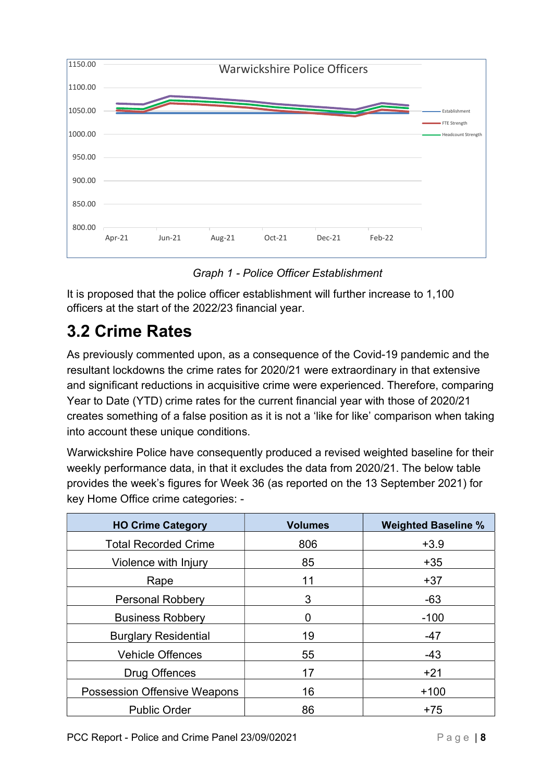

Graph 1 - Police Officer Establishment

It is proposed that the police officer establishment will further increase to 1,100 officers at the start of the 2022/23 financial year.

### 3.2 Crime Rates

As previously commented upon, as a consequence of the Covid-19 pandemic and the resultant lockdowns the crime rates for 2020/21 were extraordinary in that extensive and significant reductions in acquisitive crime were experienced. Therefore, comparing Year to Date (YTD) crime rates for the current financial year with those of 2020/21 creates something of a false position as it is not a 'like for like' comparison when taking into account these unique conditions.

Warwickshire Police have consequently produced a revised weighted baseline for their weekly performance data, in that it excludes the data from 2020/21. The below table provides the week's figures for Week 36 (as reported on the 13 September 2021) for key Home Office crime categories: -

| <b>HO Crime Category</b>            | <b>Volumes</b> | <b>Weighted Baseline %</b> |
|-------------------------------------|----------------|----------------------------|
| <b>Total Recorded Crime</b>         | 806            | $+3.9$                     |
| Violence with Injury                | 85             | $+35$                      |
| Rape                                | 11             | $+37$                      |
| <b>Personal Robbery</b>             | 3              | $-63$                      |
| <b>Business Robbery</b>             | 0              | $-100$                     |
| <b>Burglary Residential</b>         | 19             | $-47$                      |
| <b>Vehicle Offences</b>             | 55             | $-43$                      |
| Drug Offences                       | 17             | $+21$                      |
| <b>Possession Offensive Weapons</b> | 16             | $+100$                     |
| <b>Public Order</b>                 | 86             | $+75$                      |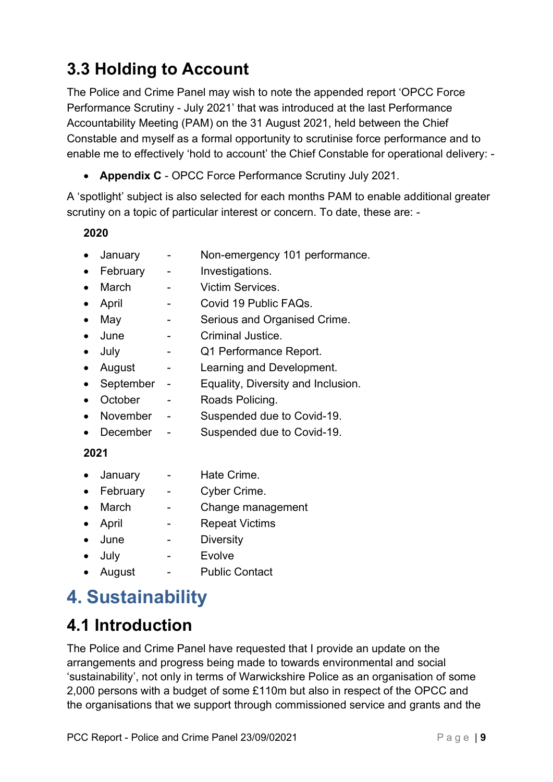# 3.3 Holding to Account

The Police and Crime Panel may wish to note the appended report 'OPCC Force Performance Scrutiny - July 2021' that was introduced at the last Performance Accountability Meeting (PAM) on the 31 August 2021, held between the Chief Constable and myself as a formal opportunity to scrutinise force performance and to enable me to effectively 'hold to account' the Chief Constable for operational delivery: -

• Appendix C - OPCC Force Performance Scrutiny July 2021.

A 'spotlight' subject is also selected for each months PAM to enable additional greater scrutiny on a topic of particular interest or concern. To date, these are: -

#### 2020

- January Non-emergency 101 performance.
- February Investigations.
- March Victim Services.
- April Covid 19 Public FAQs.
- May Serious and Organised Crime.
- June Criminal Justice.
- July Q1 Performance Report.
- August Learning and Development.
- September Equality, Diversity and Inclusion.
- October Roads Policing.
- November Suspended due to Covid-19.
- December Suspended due to Covid-19.

#### 2021

- January Hate Crime.
- February Cyber Crime.
- March Change management
- April Repeat Victims
- June Diversity
- July Evolve
- August Public Contact

# 4. Sustainability

### 4.1 Introduction

The Police and Crime Panel have requested that I provide an update on the arrangements and progress being made to towards environmental and social 'sustainability', not only in terms of Warwickshire Police as an organisation of some 2,000 persons with a budget of some £110m but also in respect of the OPCC and the organisations that we support through commissioned service and grants and the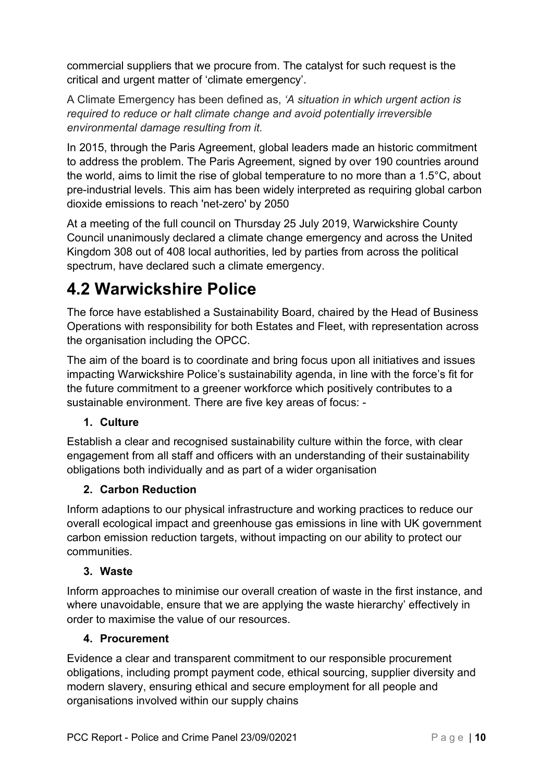commercial suppliers that we procure from. The catalyst for such request is the critical and urgent matter of 'climate emergency'.

A Climate Emergency has been defined as, 'A situation in which urgent action is required to reduce or halt climate change and avoid potentially irreversible environmental damage resulting from it.

In 2015, through the Paris Agreement, global leaders made an historic commitment to address the problem. The Paris Agreement, signed by over 190 countries around the world, aims to limit the rise of global temperature to no more than a 1.5°C, about pre-industrial levels. This aim has been widely interpreted as requiring global carbon dioxide emissions to reach 'net-zero' by 2050

At a meeting of the full council on Thursday 25 July 2019, Warwickshire County Council unanimously declared a climate change emergency and across the United Kingdom 308 out of 408 local authorities, led by parties from across the political spectrum, have declared such a climate emergency.

### 4.2 Warwickshire Police

The force have established a Sustainability Board, chaired by the Head of Business Operations with responsibility for both Estates and Fleet, with representation across the organisation including the OPCC.

The aim of the board is to coordinate and bring focus upon all initiatives and issues impacting Warwickshire Police's sustainability agenda, in line with the force's fit for the future commitment to a greener workforce which positively contributes to a sustainable environment. There are five key areas of focus: -

#### 1. Culture

Establish a clear and recognised sustainability culture within the force, with clear engagement from all staff and officers with an understanding of their sustainability obligations both individually and as part of a wider organisation

#### 2. Carbon Reduction

Inform adaptions to our physical infrastructure and working practices to reduce our overall ecological impact and greenhouse gas emissions in line with UK government carbon emission reduction targets, without impacting on our ability to protect our communities.

#### 3. Waste

Inform approaches to minimise our overall creation of waste in the first instance, and where unavoidable, ensure that we are applying the waste hierarchy' effectively in order to maximise the value of our resources.

#### 4. Procurement

Evidence a clear and transparent commitment to our responsible procurement obligations, including prompt payment code, ethical sourcing, supplier diversity and modern slavery, ensuring ethical and secure employment for all people and organisations involved within our supply chains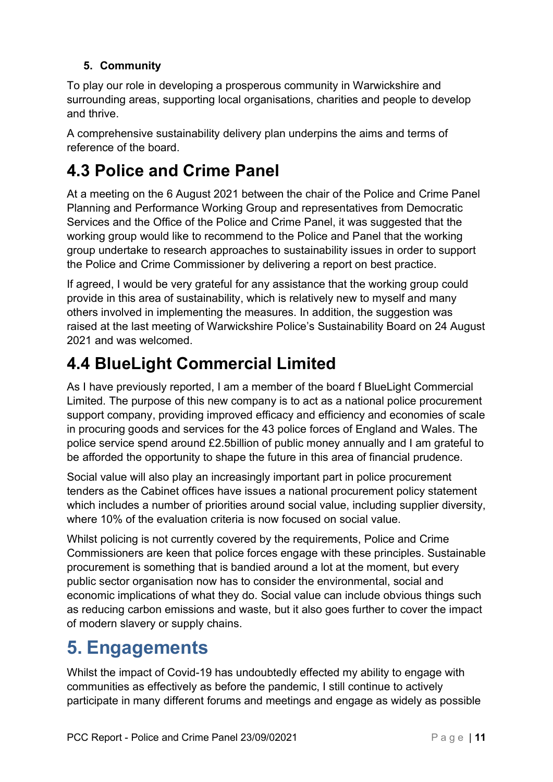#### 5. Community

To play our role in developing a prosperous community in Warwickshire and surrounding areas, supporting local organisations, charities and people to develop and thrive.

A comprehensive sustainability delivery plan underpins the aims and terms of reference of the board.

### 4.3 Police and Crime Panel

At a meeting on the 6 August 2021 between the chair of the Police and Crime Panel Planning and Performance Working Group and representatives from Democratic Services and the Office of the Police and Crime Panel, it was suggested that the working group would like to recommend to the Police and Panel that the working group undertake to research approaches to sustainability issues in order to support the Police and Crime Commissioner by delivering a report on best practice.

If agreed, I would be very grateful for any assistance that the working group could provide in this area of sustainability, which is relatively new to myself and many others involved in implementing the measures. In addition, the suggestion was raised at the last meeting of Warwickshire Police's Sustainability Board on 24 August 2021 and was welcomed.

# 4.4 BlueLight Commercial Limited

As I have previously reported, I am a member of the board f BlueLight Commercial Limited. The purpose of this new company is to act as a national police procurement support company, providing improved efficacy and efficiency and economies of scale in procuring goods and services for the 43 police forces of England and Wales. The police service spend around £2.5billion of public money annually and I am grateful to be afforded the opportunity to shape the future in this area of financial prudence.

Social value will also play an increasingly important part in police procurement tenders as the Cabinet offices have issues a national procurement policy statement which includes a number of priorities around social value, including supplier diversity, where 10% of the evaluation criteria is now focused on social value.

Whilst policing is not currently covered by the requirements, Police and Crime Commissioners are keen that police forces engage with these principles. Sustainable procurement is something that is bandied around a lot at the moment, but every public sector organisation now has to consider the environmental, social and economic implications of what they do. Social value can include obvious things such as reducing carbon emissions and waste, but it also goes further to cover the impact of modern slavery or supply chains.

# 5. Engagements

Whilst the impact of Covid-19 has undoubtedly effected my ability to engage with communities as effectively as before the pandemic, I still continue to actively participate in many different forums and meetings and engage as widely as possible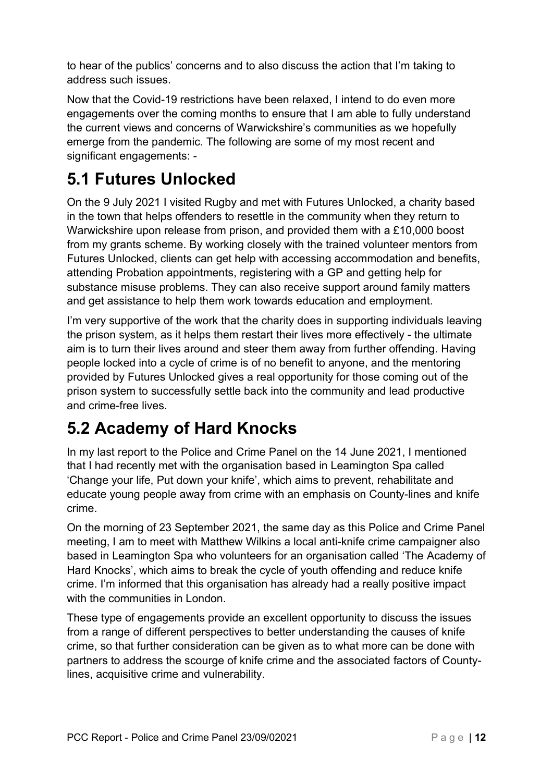to hear of the publics' concerns and to also discuss the action that I'm taking to address such issues.

Now that the Covid-19 restrictions have been relaxed, I intend to do even more engagements over the coming months to ensure that I am able to fully understand the current views and concerns of Warwickshire's communities as we hopefully emerge from the pandemic. The following are some of my most recent and significant engagements: -

### 5.1 Futures Unlocked

On the 9 July 2021 I visited Rugby and met with Futures Unlocked, a charity based in the town that helps offenders to resettle in the community when they return to Warwickshire upon release from prison, and provided them with a £10,000 boost from my grants scheme. By working closely with the trained volunteer mentors from Futures Unlocked, clients can get help with accessing accommodation and benefits, attending Probation appointments, registering with a GP and getting help for substance misuse problems. They can also receive support around family matters and get assistance to help them work towards education and employment.

I'm very supportive of the work that the charity does in supporting individuals leaving the prison system, as it helps them restart their lives more effectively - the ultimate aim is to turn their lives around and steer them away from further offending. Having people locked into a cycle of crime is of no benefit to anyone, and the mentoring provided by Futures Unlocked gives a real opportunity for those coming out of the prison system to successfully settle back into the community and lead productive and crime-free lives.

# 5.2 Academy of Hard Knocks

In my last report to the Police and Crime Panel on the 14 June 2021, I mentioned that I had recently met with the organisation based in Leamington Spa called 'Change your life, Put down your knife', which aims to prevent, rehabilitate and educate young people away from crime with an emphasis on County-lines and knife crime.

On the morning of 23 September 2021, the same day as this Police and Crime Panel meeting, I am to meet with Matthew Wilkins a local anti-knife crime campaigner also based in Leamington Spa who volunteers for an organisation called 'The Academy of Hard Knocks', which aims to break the cycle of youth offending and reduce knife crime. I'm informed that this organisation has already had a really positive impact with the communities in London.

These type of engagements provide an excellent opportunity to discuss the issues from a range of different perspectives to better understanding the causes of knife crime, so that further consideration can be given as to what more can be done with partners to address the scourge of knife crime and the associated factors of Countylines, acquisitive crime and vulnerability.